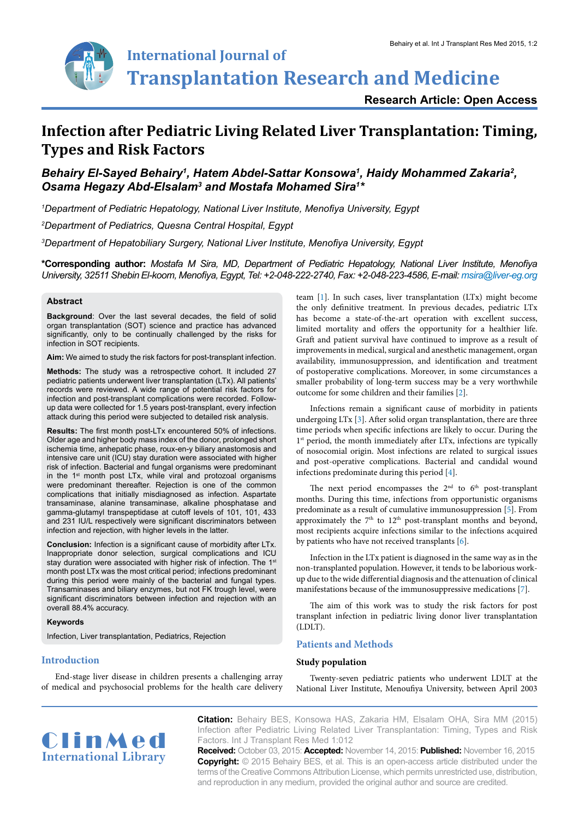

**Transplantation Research and Medicine**

**Research Article: Open Access**

# **Infection after Pediatric Living Related Liver Transplantation: Timing, Types and Risk Factors**

# Behairy El-Sayed Behairy<sup>1</sup>, Hatem Abdel-Sattar Konsowa<sup>1</sup>, Haidy Mohammed Zakaria<sup>2</sup>, *Osama Hegazy Abd-Elsalam3 and Mostafa Mohamed Sira1 \**

*1 Department of Pediatric Hepatology, National Liver Institute, Menofiya University, Egypt*

*2 Department of Pediatrics, Quesna Central Hospital, Egypt*

*3 Department of Hepatobiliary Surgery, National Liver Institute, Menofiya University, Egypt*

**\*Corresponding author:** *Mostafa M Sira, MD, Department of Pediatric Hepatology, National Liver Institute, Menofiya University, 32511 Shebin El-koom, Menofiya, Egypt, Tel: +2-048-222-2740, Fax: +2-048-223-4586, E-mail: msira@liver-eg.org*

#### **Abstract**

**Background**: Over the last several decades, the field of solid organ transplantation (SOT) science and practice has advanced significantly, only to be continually challenged by the risks for infection in SOT recipients.

**Aim:** We aimed to study the risk factors for post-transplant infection.

**Methods:** The study was a retrospective cohort. It included 27 pediatric patients underwent liver transplantation (LTx). All patients' records were reviewed. A wide range of potential risk factors for infection and post-transplant complications were recorded. Followup data were collected for 1.5 years post-transplant, every infection attack during this period were subjected to detailed risk analysis.

**Results:** The first month post-LTx encountered 50% of infections. Older age and higher body mass index of the donor, prolonged short ischemia time, anhepatic phase, roux-en-y biliary anastomosis and intensive care unit (ICU) stay duration were associated with higher risk of infection. Bacterial and fungal organisms were predominant in the 1<sup>st</sup> month post LTx, while viral and protozoal organisms were predominant thereafter. Rejection is one of the common complications that initially misdiagnosed as infection. Aspartate transaminase, alanine transaminase, alkaline phosphatase and gamma-glutamyl transpeptidase at cutoff levels of 101, 101, 433 and 231 IU/L respectively were significant discriminators between infection and rejection, with higher levels in the latter.

**Conclusion:** Infection is a significant cause of morbidity after LTx. Inappropriate donor selection, surgical complications and ICU stay duration were associated with higher risk of infection. The 1<sup>st</sup> month post LTx was the most critical period; infections predominant during this period were mainly of the bacterial and fungal types. Transaminases and biliary enzymes, but not FK trough level, were significant discriminators between infection and rejection with an overall 88.4% accuracy.

#### **Keywords**

Infection, Liver transplantation, Pediatrics, Rejection

#### **Introduction**

End-stage liver disease in children presents a challenging array of medical and psychosocial problems for the health care delivery

team [\[1\]](#page-5-0). In such cases, liver transplantation (LTx) might become the only definitive treatment. In previous decades, pediatric LTx has become a state-of-the-art operation with excellent success, limited mortality and offers the opportunity for a healthier life. Graft and patient survival have continued to improve as a result of improvements in medical, surgical and anesthetic management, organ availability, immunosuppression, and identification and treatment of postoperative complications. Moreover, in some circumstances a smaller probability of long-term success may be a very worthwhile outcome for some children and their families [[2](#page-5-1)].

Infections remain a significant cause of morbidity in patients undergoing LTx [[3\]](#page-5-2). After solid organ transplantation, there are three time periods when specific infections are likely to occur. During the 1<sup>st</sup> period, the month immediately after LTx, infections are typically of nosocomial origin. Most infections are related to surgical issues and post-operative complications. Bacterial and candidal wound infections predominate during this period [[4](#page-5-3)].

The next period encompasses the  $2<sup>nd</sup>$  to  $6<sup>th</sup>$  post-transplant months. During this time, infections from opportunistic organisms predominate as a result of cumulative immunosuppression [\[5\]](#page-5-4). From approximately the  $7<sup>th</sup>$  to  $12<sup>th</sup>$  post-transplant months and beyond, most recipients acquire infections similar to the infections acquired by patients who have not received transplants [[6](#page-5-5)].

Infection in the LTx patient is diagnosed in the same way as in the non-transplanted population. However, it tends to be laborious workup due to the wide differential diagnosis and the attenuation of clinical manifestations because of the immunosuppressive medications [\[7\]](#page-5-6).

The aim of this work was to study the risk factors for post transplant infection in pediatric living donor liver transplantation  $(TDIT)$ 

#### **Patients and Methods**

#### **Study population**

Twenty-seven pediatric patients who underwent LDLT at the National Liver Institute, Menoufiya University, between April 2003



**Citation:** Behairy BES, Konsowa HAS, Zakaria HM, Elsalam OHA, Sira MM (2015) Infection after Pediatric Living Related Liver Transplantation: Timing, Types and Risk Factors. Int J Transplant Res Med 1:012

**Received:** October 03, 2015: **Accepted:** November 14, 2015: **Published:** November 16, 2015 **Copyright:** © 2015 Behairy BES, et al. This is an open-access article distributed under the terms of the Creative Commons Attribution License, which permits unrestricted use, distribution, and reproduction in any medium, provided the original author and source are credited.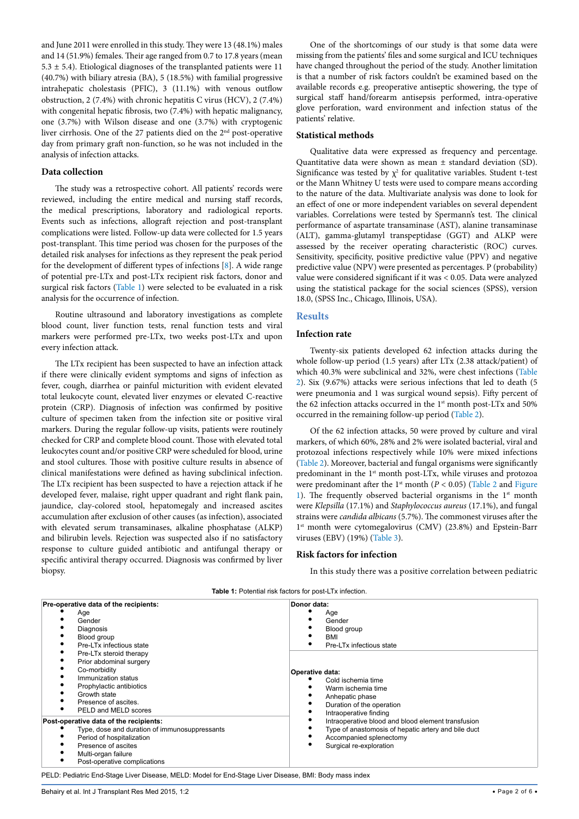and June 2011 were enrolled in this study. They were 13 (48.1%) males and 14 (51.9%) females. Their age ranged from 0.7 to 17.8 years (mean 5.3  $\pm$  5.4). Etiological diagnoses of the transplanted patients were 11 (40.7%) with biliary atresia (BA), 5 (18.5%) with familial progressive intrahepatic cholestasis (PFIC), 3 (11.1%) with venous outflow obstruction, 2 (7.4%) with chronic hepatitis C virus (HCV), 2 (7.4%) with congenital hepatic fibrosis, two (7.4%) with hepatic malignancy, one (3.7%) with Wilson disease and one (3.7%) with cryptogenic liver cirrhosis. One of the 27 patients died on the 2nd post-operative day from primary graft non-function, so he was not included in the analysis of infection attacks.

#### **Data collection**

The study was a retrospective cohort. All patients' records were reviewed, including the entire medical and nursing staff records, the medical prescriptions, laboratory and radiological reports. Events such as infections, allograft rejection and post-transplant complications were listed. Follow-up data were collected for 1.5 years post-transplant. This time period was chosen for the purposes of the detailed risk analyses for infections as they represent the peak period for the development of different types of infections [[8](#page-5-7)]. A wide range of potential pre-LTx and post-LTx recipient risk factors, donor and surgical risk factors ([Table 1\)](#page-1-0) were selected to be evaluated in a risk analysis for the occurrence of infection.

Routine ultrasound and laboratory investigations as complete blood count, liver function tests, renal function tests and viral markers were performed pre-LTx, two weeks post-LTx and upon every infection attack.

The LTx recipient has been suspected to have an infection attack if there were clinically evident symptoms and signs of infection as fever, cough, diarrhea or painful micturition with evident elevated total leukocyte count, elevated liver enzymes or elevated C-reactive protein (CRP). Diagnosis of infection was confirmed by positive culture of specimen taken from the infection site or positive viral markers. During the regular follow-up visits, patients were routinely checked for CRP and complete blood count. Those with elevated total leukocytes count and/or positive CRP were scheduled for blood, urine and stool cultures. Those with positive culture results in absence of clinical manifestations were defined as having subclinical infection. The LTx recipient has been suspected to have a rejection attack if he developed fever, malaise, right upper quadrant and right flank pain, jaundice, clay-colored stool, hepatomegaly and increased ascites accumulation after exclusion of other causes (as infection), associated with elevated serum transaminases, alkaline phosphatase (ALKP) and bilirubin levels. Rejection was suspected also if no satisfactory response to culture guided antibiotic and antifungal therapy or specific antiviral therapy occurred. Diagnosis was confirmed by liver biopsy.

One of the shortcomings of our study is that some data were missing from the patients' files and some surgical and ICU techniques have changed throughout the period of the study. Another limitation is that a number of risk factors couldn't be examined based on the available records e.g. preoperative antiseptic showering, the type of surgical staff hand/forearm antisepsis performed, intra-operative glove perforation, ward environment and infection status of the patients' relative.

#### **Statistical methods**

Qualitative data were expressed as frequency and percentage. Quantitative data were shown as mean ± standard deviation (SD). Significance was tested by  $\chi^2$  for qualitative variables. Student t-test or the Mann Whitney U tests were used to compare means according to the nature of the data. Multivariate analysis was done to look for an effect of one or more independent variables on several dependent variables. Correlations were tested by Spermann's test. The clinical performance of aspartate transaminase (AST), alanine transaminase (ALT), gamma-glutamyl transpeptidase (GGT) and ALKP were assessed by the receiver operating characteristic (ROC) curves. Sensitivity, specificity, positive predictive value (PPV) and negative predictive value (NPV) were presented as percentages. P (probability) value were considered significant if it was < 0.05. Data were analyzed using the statistical package for the social sciences (SPSS), version 18.0, (SPSS Inc., Chicago, Illinois, USA).

#### **Results**

#### **Infection rate**

Twenty-six patients developed 62 infection attacks during the whole follow-up period (1.5 years) after LTx (2.38 attack/patient) of which 40.3% were subclinical and 32%, were chest infections ([Table](#page-2-0)  [2](#page-2-0)). Six (9.67%) attacks were serious infections that led to death (5 were pneumonia and 1 was surgical wound sepsis). Fifty percent of the 62 infection attacks occurred in the 1<sup>st</sup> month post-LTx and 50% occurred in the remaining follow-up period [\(Table 2\)](#page-2-0).

Of the 62 infection attacks, 50 were proved by culture and viral markers, of which 60%, 28% and 2% were isolated bacterial, viral and protozoal infections respectively while 10% were mixed infections ([Table 2](#page-2-0)). Moreover, bacterial and fungal organisms were significantly predominant in the 1<sup>st</sup> month post-LTx, while viruses and protozoa were predominant after the 1<sup>st</sup> month ( $P < 0.05$ ) [\(Table 2](#page-2-0) and Figure 1). The frequently observed bacterial organisms in the  $1<sup>st</sup>$  month were *Klepsilla* (17.1%) and *Staphylococcus aureus* (17.1%), and fungal strains were *candida albicans* (5.7%). The commonest viruses after the 1<sup>st</sup> month were cytomegalovirus (CMV) (23.8%) and Epstein-Barr viruses (EBV) (19%) ([Table 3](#page-2-1)).

#### <span id="page-1-0"></span>**Risk factors for infection**

In this study there was a positive correlation between pediatric

|  | <b>Table 1:</b> Potential risk factors for post-LTx infection. |
|--|----------------------------------------------------------------|
|  |                                                                |

| Pre-operative data of the recipients:<br>Age<br>Gender<br>Diagnosis<br>Blood group<br>Pre-LTx infectious state                                                                                     | Donor data:<br>Age<br>Gender<br>Blood group<br>BMI                                                                                                                |  |  |
|----------------------------------------------------------------------------------------------------------------------------------------------------------------------------------------------------|-------------------------------------------------------------------------------------------------------------------------------------------------------------------|--|--|
| Pre-LTx steroid therapy<br>Prior abdominal surgery<br>Co-morbidity<br>Immunization status<br>Prophylactic antibiotics<br>Growth state<br>Presence of ascites.<br>PELD and MELD scores              | Pre-LTx infectious state<br>Operative data:<br>Cold ischemia time<br>Warm ischemia time<br>Anhepatic phase<br>Duration of the operation<br>Intraoperative finding |  |  |
| Post-operative data of the recipients:<br>Type, dose and duration of immunosuppressants<br>Period of hospitalization<br>Presence of ascites<br>Multi-organ failure<br>Post-operative complications | Intraoperative blood and blood element transfusion<br>Type of anastomosis of hepatic artery and bile duct<br>Accompanied splenectomy<br>Surgical re-exploration   |  |  |

PELD: [Pediatric End-Stage Liver Disease](http://en.wikipedia.org/wiki/Pediatric_End-Stage_Liver_Disease), MELD: Model for End-Stage Liver Disease, BMI: Body mass index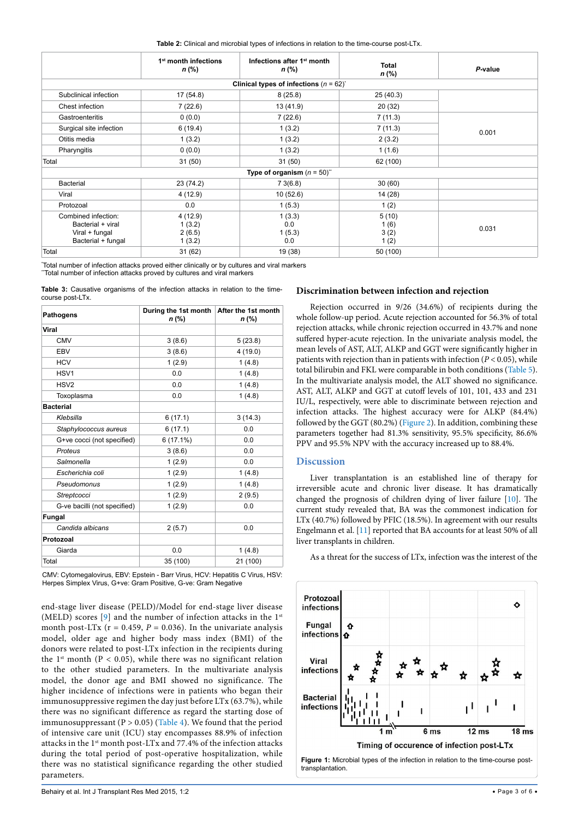<span id="page-2-0"></span>

|                                                                                  | 1 <sup>st</sup> month infections<br>n (%) | Infections after 1 <sup>st</sup> month<br>n (%) | <b>Total</b><br>$n$ (%)       | P-value |
|----------------------------------------------------------------------------------|-------------------------------------------|-------------------------------------------------|-------------------------------|---------|
|                                                                                  |                                           | Clinical types of infections $(n = 62)^{2}$     |                               |         |
| Subclinical infection                                                            | 17(54.8)                                  | 8(25.8)                                         | 25(40.3)                      |         |
| Chest infection                                                                  | 7(22.6)                                   | 13 (41.9)                                       | 20(32)                        |         |
| Gastroenteritis                                                                  | 0(0.0)                                    | 7(22.6)                                         | 7(11.3)                       |         |
| Surgical site infection                                                          | 6(19.4)                                   | 1(3.2)                                          | 7(11.3)                       | 0.001   |
| Otitis media                                                                     | 1(3.2)                                    | 1(3.2)                                          | 2(3.2)                        |         |
| Pharyngitis                                                                      | 0(0.0)                                    | 1(3.2)                                          | 1(1.6)                        |         |
| Total                                                                            | 31(50)                                    | 31(50)                                          | 62 (100)                      |         |
|                                                                                  |                                           | Type of organism $(n = 50)^{n}$                 |                               |         |
| Bacterial                                                                        | 23 (74.2)                                 | 73(6.8)                                         | 30(60)                        |         |
| Viral                                                                            | 4(12.9)                                   | 10(52.6)                                        | 14 (28)                       |         |
| Protozoal                                                                        | 0.0                                       | 1(5.3)                                          | 1(2)                          |         |
| Combined infection:<br>Bacterial + viral<br>Viral + fungal<br>Bacterial + fungal | 4(12.9)<br>1(3.2)<br>2(6.5)<br>1(3.2)     | 1(3.3)<br>0.0<br>1(5.3)<br>0.0                  | 5(10)<br>1(6)<br>3(2)<br>1(2) | 0.031   |
| Total                                                                            | 31 (62)                                   | 19 (38)                                         | 50 (100)                      |         |

\* Total number of infection attacks proved either clinically or by cultures and viral markers Total number of infection attacks proved by cultures and viral markers

<span id="page-2-1"></span>**Table 3:** Causative organisms of the infection attacks in relation to the timecourse post-LTx.

| <b>Pathogens</b>             | During the 1st month   After the 1st month<br>n (%) | $n$ (%)  |  |
|------------------------------|-----------------------------------------------------|----------|--|
| Viral                        |                                                     |          |  |
| <b>CMV</b>                   | 3(8.6)                                              | 5(23.8)  |  |
| EBV                          | 3(8.6)                                              | 4(19.0)  |  |
| <b>HCV</b>                   | 1(2.9)                                              | 1(4.8)   |  |
| HSV1                         | 0.0                                                 | 1(4.8)   |  |
| HSV <sub>2</sub>             | 0.0                                                 | 1(4.8)   |  |
| Toxoplasma                   | 0.0                                                 | 1(4.8)   |  |
| <b>Bacterial</b>             |                                                     |          |  |
| Klebsilla                    | 6(17.1)                                             | 3(14.3)  |  |
| Staphylococcus aureus        | 6(17.1)                                             | 0.0      |  |
| G+ve cocci (not specified)   | $6(17.1\%)$                                         | 0.0      |  |
| Proteus                      | 3(8.6)                                              | 0.0      |  |
| Salmonella                   | 1(2.9)                                              | 0.0      |  |
| Escherichia coli             | 1(2.9)                                              | 1(4.8)   |  |
| Pseudomonus                  | 1(2.9)                                              | 1(4.8)   |  |
| Streptcocci                  | 1(2.9)                                              | 2(9.5)   |  |
| G-ve bacilli (not specified) | 1(2.9)                                              | 0.0      |  |
| <b>Fungal</b>                |                                                     |          |  |
| Candida albicans             | 2(5.7)                                              | 0.0      |  |
| Protozoal                    |                                                     |          |  |
| Giarda                       | 0.0                                                 | 1(4.8)   |  |
| Total                        | 35 (100)                                            | 21 (100) |  |

CMV: Cytomegalovirus, EBV: Epstein - Barr Virus, HCV: Hepatitis C Virus, HSV: Herpes Simplex Virus, G+ve: Gram Positive, G-ve: Gram Negative

end-stage liver disease (PELD)/Model for end-stage liver disease (MELD) scores [\[9\]](#page-5-8) and the number of infection attacks in the 1<sup>st</sup> month post-LTx ( $r = 0.459$ ,  $P = 0.036$ ). In the univariate analysis model, older age and higher body mass index (BMI) of the donors were related to post-LTx infection in the recipients during the 1<sup>st</sup> month ( $P < 0.05$ ), while there was no significant relation to the other studied parameters. In the multivariate analysis model, the donor age and BMI showed no significance. The higher incidence of infections were in patients who began their immunosuppressive regimen the day just before LTx (63.7%), while there was no significant difference as regard the starting dose of immunosuppressant ( $P > 0.05$ ) ([Table 4](#page-3-0)). We found that the period of intensive care unit (ICU) stay encompasses 88.9% of infection attacks in the 1st month post-LTx and 77.4% of the infection attacks during the total period of post-operative hospitalization, while there was no statistical significance regarding the other studied parameters.

#### **Discrimination between infection and rejection**

Rejection occurred in 9/26 (34.6%) of recipients during the whole follow-up period. Acute rejection accounted for 56.3% of total rejection attacks, while chronic rejection occurred in 43.7% and none suffered hyper-acute rejection. In the univariate analysis model, the mean levels of AST, ALT, ALKP and GGT were significantly higher in patients with rejection than in patients with infection (*P* < 0.05), while total bilirubin and FKL were comparable in both conditions [\(Table 5\)](#page-3-1). In the multivariate analysis model, the ALT showed no significance. AST, ALT, ALKP and GGT at cutoff levels of 101, 101, 433 and 231 IU/L, respectively, were able to discriminate between rejection and infection attacks. The highest accuracy were for ALKP (84.4%) followed by the GGT (80.2%) ([Figure 2\)](#page-4-0). In addition, combining these parameters together had 81.3% sensitivity, 95.5% specificity, 86.6% PPV and 95.5% NPV with the accuracy increased up to 88.4%.

#### **Discussion**

Liver transplantation is an established line of therapy for irreversible acute and chronic liver disease. It has dramatically changed the prognosis of children dying of liver failure [[10](#page-5-9)]. The current study revealed that, BA was the commonest indication for LTx (40.7%) followed by PFIC (18.5%). In agreement with our results Engelmann et al. [[11](#page-5-10)] reported that BA accounts for at least 50% of all liver transplants in children.



As a threat for the success of LTx, infection was the interest of the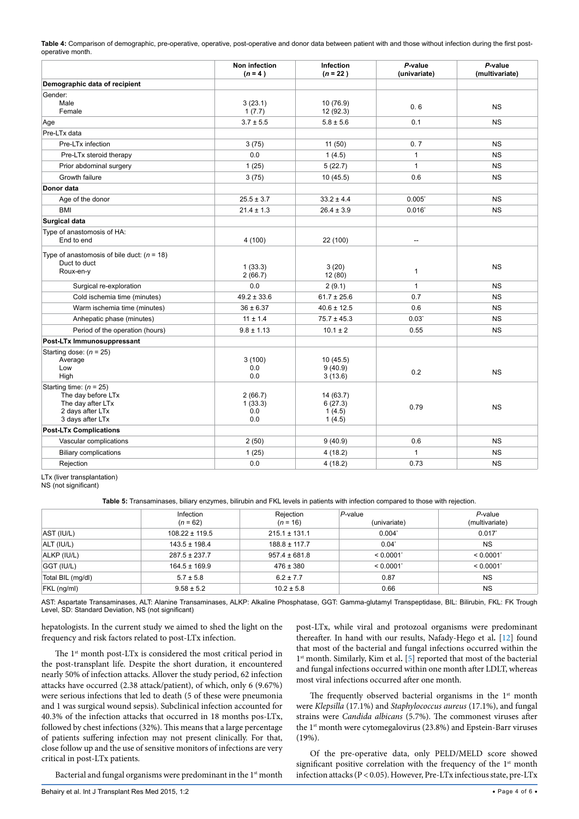<span id="page-3-0"></span>**Table 4:** Comparison of demographic, pre-operative, operative, post-operative and donor data between patient with and those without infection during the first postoperative month.

|                                                                                                              | Non infection<br>$(n = 4)$       | Infection<br>$(n = 22)$                  | P-value<br>(univariate) | P-value<br>(multivariate) |
|--------------------------------------------------------------------------------------------------------------|----------------------------------|------------------------------------------|-------------------------|---------------------------|
| Demographic data of recipient                                                                                |                                  |                                          |                         |                           |
| Gender:<br>Male<br>Female                                                                                    | 3(23.1)<br>1(7.7)                | 10(76.9)<br>12 (92.3)                    | 0.6                     | <b>NS</b>                 |
| Age                                                                                                          | $3.7 \pm 5.5$                    | $5.8 \pm 5.6$                            | 0.1                     | <b>NS</b>                 |
| Pre-LTx data                                                                                                 |                                  |                                          |                         |                           |
| Pre-LTx infection                                                                                            | 3(75)                            | 11(50)                                   | 0.7                     | <b>NS</b>                 |
| Pre-LTx steroid therapy                                                                                      | 0.0                              | 1(4.5)                                   | $\mathbf{1}$            | <b>NS</b>                 |
| Prior abdominal surgery                                                                                      | 1(25)                            | 5(22.7)                                  | $\mathbf{1}$            | <b>NS</b>                 |
| Growth failure                                                                                               | 3(75)                            | 10(45.5)                                 | 0.6                     | <b>NS</b>                 |
| Donor data                                                                                                   |                                  |                                          |                         |                           |
| Age of the donor                                                                                             | $25.5 \pm 3.7$                   | $33.2 \pm 4.4$                           | 0.005                   | <b>NS</b>                 |
| <b>BMI</b>                                                                                                   | $21.4 \pm 1.3$                   | $26.4 \pm 3.9$                           | $0.016$ <sup>*</sup>    | <b>NS</b>                 |
| <b>Surgical data</b>                                                                                         |                                  |                                          |                         |                           |
| Type of anastomosis of HA:<br>End to end                                                                     | 4(100)                           | 22 (100)                                 | $\overline{a}$          |                           |
| Type of anastomosis of bile duct: $(n = 18)$<br>Duct to duct<br>Roux-en-y                                    | 1(33.3)<br>2(66.7)               | 3(20)<br>12 (80)                         | 1                       | <b>NS</b>                 |
| Surgical re-exploration                                                                                      | 0.0                              | 2(9.1)                                   | $\mathbf{1}$            | <b>NS</b>                 |
| Cold ischemia time (minutes)                                                                                 | $49.2 \pm 33.6$                  | $61.7 \pm 25.6$                          | 0.7                     | <b>NS</b>                 |
| Warm ischemia time (minutes)                                                                                 | $36 \pm 6.37$                    | $40.6 \pm 12.5$                          | 0.6                     | <b>NS</b>                 |
| Anhepatic phase (minutes)                                                                                    | $11 \pm 1.4$                     | $75.7 \pm 45.3$                          | $0.03^{\circ}$          | <b>NS</b>                 |
| Period of the operation (hours)                                                                              | $9.8 \pm 1.13$                   | $10.1 \pm 2$                             | 0.55                    | <b>NS</b>                 |
| Post-LTx Immunosuppressant                                                                                   |                                  |                                          |                         |                           |
| Starting dose: $(n = 25)$<br>Average<br>Low<br>High                                                          | 3(100)<br>0.0<br>0.0             | 10(45.5)<br>9(40.9)<br>3(13.6)           | 0.2                     | <b>NS</b>                 |
| Starting time: $(n = 25)$<br>The day before LTx<br>The day after LTx<br>2 days after LTx<br>3 days after LTx | 2(66.7)<br>1(33.3)<br>0.0<br>0.0 | 14 (63.7)<br>6(27.3)<br>1(4.5)<br>1(4.5) | 0.79                    | <b>NS</b>                 |
| <b>Post-LTx Complications</b>                                                                                |                                  |                                          |                         |                           |
| Vascular complications                                                                                       | 2(50)                            | 9(40.9)                                  | 0.6                     | <b>NS</b>                 |
| <b>Biliary complications</b>                                                                                 | 1(25)                            | 4(18.2)                                  | 1                       | <b>NS</b>                 |
| Rejection                                                                                                    | 0.0                              | 4(18.2)                                  | 0.73                    | <b>NS</b>                 |

LTx (liver transplantation)

NS (not significant)

<span id="page-3-1"></span>**Table 5:** Transaminases, biliary enzymes, bilirubin and FKL levels in patients with infection compared to those with rejection.

|                   | Infection<br>$(n = 62)$ | Rejection<br>$(n = 16)$ | $P$ -value<br>(univariate) | $P$ -value<br>(multivariate) |
|-------------------|-------------------------|-------------------------|----------------------------|------------------------------|
| AST (IU/L)        | $108.22 \pm 119.5$      | $215.1 \pm 131.1$       | $0.004^{\circ}$            | 0.017                        |
| ALT (IU/L)        | $143.5 \pm 198.4$       | $188.8 \pm 117.7$       | $0.04^{\circ}$             | <b>NS</b>                    |
| ALKP (IU/L)       | $287.5 \pm 237.7$       | $957.4 \pm 681.8$       | < 0.0001                   | < 0.0001                     |
| GGT (IU/L)        | $164.5 \pm 169.9$       | $476 \pm 380$           | < 0.0001                   | < 0.0001                     |
| Total BIL (mg/dl) | $5.7 \pm 5.8$           | $6.2 \pm 7.7$           | 0.87                       | <b>NS</b>                    |
| FKL (ng/ml)       | $9.58 \pm 5.2$          | $10.2 \pm 5.8$          | 0.66                       | <b>NS</b>                    |

AST: Aspartate Transaminases, ALT: Alanine Transaminases, ALKP: Alkaline Phosphatase, GGT: Gamma-glutamyl Transpeptidase, BIL: Bilirubin, FKL: FK Trough Level, SD: Standard Deviation, NS (not significant)

hepatologists. In the current study we aimed to shed the light on the frequency and risk factors related to post-LTx infection.

The 1<sup>st</sup> month post-LTx is considered the most critical period in the post-transplant life. Despite the short duration, it encountered nearly 50% of infection attacks. Allover the study period, 62 infection attacks have occurred (2.38 attack/patient), of which, only 6 (9.67%) were serious infections that led to death (5 of these were pneumonia and 1 was surgical wound sepsis). Subclinical infection accounted for 40.3% of the infection attacks that occurred in 18 months pos-LTx, followed by chest infections (32%). This means that a large percentage of patients suffering infection may not present clinically. For that, close follow up and the use of sensitive monitors of infections are very critical in post-LTx patients.

Bacterial and fungal organisms were predominant in the 1<sup>st</sup> month

post-LTx, while viral and protozoal organisms were predominant thereafter. In hand with our results, Nafady-Hego et al*.* [\[12\]](#page-5-11) found that most of the bacterial and fungal infections occurred within the 1st month. Similarly, Kim et al**.** [[5\]](#page-5-4) reported that most of the bacterial and fungal infections occurred within one month after LDLT, whereas most viral infections occurred after one month.

The frequently observed bacterial organisms in the  $1<sup>st</sup>$  month were *Klepsilla* (17.1%) and *Staphylococcus aureus* (17.1%), and fungal strains were *Candida albicans* (5.7%). The commonest viruses after the 1<sup>st</sup> month were cytomegalovirus (23.8%) and Epstein-Barr viruses (19%).

Of the pre-operative data, only PELD/MELD score showed significant positive correlation with the frequency of the  $1<sup>st</sup>$  month infection attacks (P < 0.05). However, Pre-LTx infectious state, pre-LTx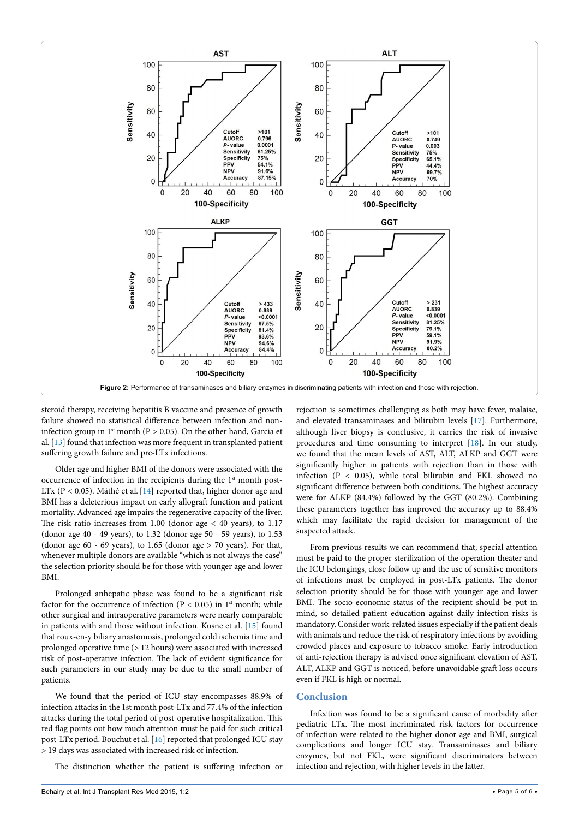<span id="page-4-0"></span>

steroid therapy, receiving hepatitis B vaccine and presence of growth failure showed no statistical difference between infection and noninfection group in 1<sup>st</sup> month ( $P > 0.05$ ). On the other hand, Garcia et al*.* [[13](#page-5-12)] found that infection was more frequent in transplanted patient suffering growth failure and pre-LTx infections.

Older age and higher BMI of the donors were associated with the occurrence of infection in the recipients during the 1<sup>st</sup> month post-LTx ( $P < 0.05$ ). Máthé et al. [[14](#page-5-13)] reported that, higher donor age and BMI has a deleterious impact on early allograft function and patient mortality. Advanced age impairs the regenerative capacity of the liver. The risk ratio increases from 1.00 (donor age < 40 years), to 1.17 (donor age 40 - 49 years), to 1.32 (donor age 50 - 59 years), to 1.53 (donor age 60 - 69 years), to 1.65 (donor age > 70 years). For that, whenever multiple donors are available "which is not always the case" the selection priority should be for those with younger age and lower BMI.

Prolonged anhepatic phase was found to be a significant risk factor for the occurrence of infection (P < 0.05) in  $1<sup>st</sup>$  month; while other surgical and intraoperative parameters were nearly comparable in patients with and those without infection. Kusne et al. [[15](#page-5-14)] found that roux-en-y biliary anastomosis, prolonged cold ischemia time and prolonged operative time (> 12 hours) were associated with increased risk of post-operative infection. The lack of evident significance for such parameters in our study may be due to the small number of patients.

We found that the period of ICU stay encompasses 88.9% of infection attacks in the 1st month post-LTx and 77.4% of the infection attacks during the total period of post-operative hospitalization. This red flag points out how much attention must be paid for such critical post-LTx period. Bouchut et al. [\[16](#page-5-15)] reported that prolonged ICU stay > 19 days was associated with increased risk of infection.

The distinction whether the patient is suffering infection or

rejection is sometimes challenging as both may have fever, malaise, and elevated transaminases and bilirubin levels [\[17\]](#page-5-16). Furthermore, although liver biopsy is conclusive, it carries the risk of invasive procedures and time consuming to interpret  $[18]$  $[18]$ . In our study, we found that the mean levels of AST, ALT, ALKP and GGT were significantly higher in patients with rejection than in those with infection  $(P < 0.05)$ , while total bilirubin and FKL showed no significant difference between both conditions. The highest accuracy were for ALKP (84.4%) followed by the GGT (80.2%). Combining these parameters together has improved the accuracy up to 88.4% which may facilitate the rapid decision for management of the suspected attack.

From previous results we can recommend that; special attention must be paid to the proper sterilization of the operation theater and the ICU belongings, close follow up and the use of sensitive monitors of infections must be employed in post-LTx patients. The donor selection priority should be for those with younger age and lower BMI. The socio-economic status of the recipient should be put in mind, so detailed patient education against daily infection risks is mandatory. Consider work-related issues especially if the patient deals with animals and reduce the risk of respiratory infections by avoiding crowded places and exposure to tobacco smoke. Early introduction of anti-rejection therapy is advised once significant elevation of AST, ALT, ALKP and GGT is noticed, before unavoidable graft loss occurs even if FKL is high or normal.

#### **Conclusion**

Infection was found to be a significant cause of morbidity after pediatric LTx. The most incriminated risk factors for occurrence of infection were related to the higher donor age and BMI, surgical complications and longer ICU stay. Transaminases and biliary enzymes, but not FKL, were significant discriminators between infection and rejection, with higher levels in the latter.